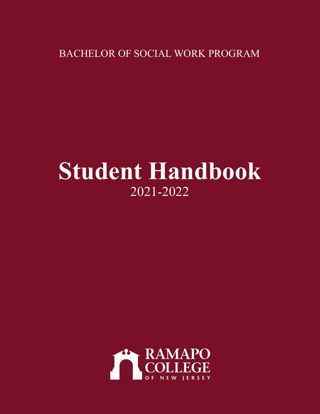BACHELOR OF SOCIAL WORK PROGRAM

# **Student Handbook** 2021-2022

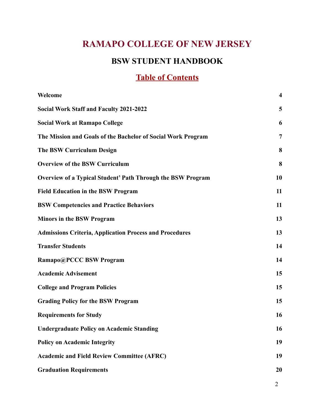# **RAMAPO COLLEGE OF NEW JERSEY**

### **BSW STUDENT HANDBOOK**

# **Table of Contents**

| Welcome                                                        | $\boldsymbol{4}$ |
|----------------------------------------------------------------|------------------|
| <b>Social Work Staff and Faculty 2021-2022</b>                 | 5                |
| <b>Social Work at Ramapo College</b>                           | 6                |
| The Mission and Goals of the Bachelor of Social Work Program   | $\overline{7}$   |
| <b>The BSW Curriculum Design</b>                               | 8                |
| <b>Overview of the BSW Curriculum</b>                          | 8                |
| Overview of a Typical Student' Path Through the BSW Program    | 10               |
| <b>Field Education in the BSW Program</b>                      | 11               |
| <b>BSW Competencies and Practice Behaviors</b>                 | 11               |
| <b>Minors in the BSW Program</b>                               | 13               |
| <b>Admissions Criteria, Application Process and Procedures</b> | 13               |
| <b>Transfer Students</b>                                       | 14               |
| Ramapo@PCCC BSW Program                                        | 14               |
| <b>Academic Advisement</b>                                     | 15               |
| <b>College and Program Policies</b>                            | 15               |
| <b>Grading Policy for the BSW Program</b>                      | 15               |
| <b>Requirements for Study</b>                                  | 16               |
| <b>Undergraduate Policy on Academic Standing</b>               | 16               |
| <b>Policy on Academic Integrity</b>                            | 19               |
| <b>Academic and Field Review Committee (AFRC)</b>              | 19               |
| <b>Graduation Requirements</b>                                 | 20               |
|                                                                | 2                |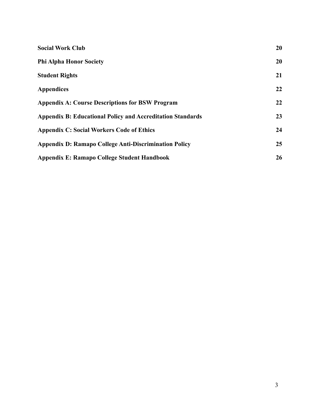| <b>Social Work Club</b>                                           | 20 |
|-------------------------------------------------------------------|----|
| <b>Phi Alpha Honor Society</b>                                    | 20 |
| <b>Student Rights</b>                                             | 21 |
| <b>Appendices</b>                                                 | 22 |
| <b>Appendix A: Course Descriptions for BSW Program</b>            | 22 |
| <b>Appendix B: Educational Policy and Accreditation Standards</b> | 23 |
| <b>Appendix C: Social Workers Code of Ethics</b>                  | 24 |
| <b>Appendix D: Ramapo College Anti-Discrimination Policy</b>      | 25 |
| Appendix E: Ramapo College Student Handbook                       | 26 |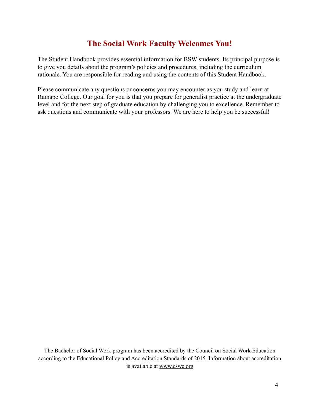### **The Social Work Faculty Welcomes You!**

<span id="page-3-0"></span>The Student Handbook provides essential information for BSW students. Its principal purpose is to give you details about the program's policies and procedures, including the curriculum rationale. You are responsible for reading and using the contents of this Student Handbook.

Please communicate any questions or concerns you may encounter as you study and learn at Ramapo College. Our goal for you is that you prepare for generalist practice at the undergraduate level and for the next step of graduate education by challenging you to excellence. Remember to ask questions and communicate with your professors. We are here to help you be successful!

The Bachelor of Social Work program has been accredited by the Council on Social Work Education according to the Educational Policy and Accreditation Standards of 2015. Information about accreditation is available at [www.cswe.org](http://www.cswe.org/)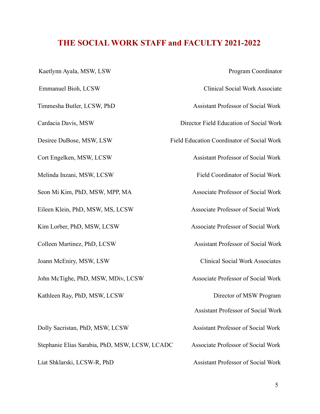#### <span id="page-4-0"></span>**THE SOCIAL WORK STAFF and FACULTY 2021-2022**

Emmanuel Bioh, LCSW Clinical Social Work Associate Timmesha Butler, LCSW, PhD Assistant Professor of Social Work Cardacia Davis, MSW Director Field Education of Social Work Desiree DuBose, MSW, LSW Field Education Coordinator of Social Work Cort Engelken, MSW, LCSW Assistant Professor of Social Work Melinda Inzani, MSW, LCSW Field Coordinator of Social Work Seon Mi Kim, PhD, MSW, MPP, MA Associate Professor of Social Work Eileen Klein, PhD, MSW, MS, LCSW Associate Professor of Social Work Kim Lorber, PhD, MSW, LCSW Associate Professor of Social Work Colleen Martinez, PhD, LCSW Assistant Professor of Social Work Joann McEniry, MSW, LSW Clinical Social Work Associates John McTighe, PhD, MSW, MDiv, LCSW Associate Professor of Social Work Kathleen Ray, PhD, MSW, LCSW Director of MSW Program Dolly Sacristan, PhD, MSW, LCSW Assistant Professor of Social Work Stephanie Elias Sarabia, PhD, MSW, LCSW, LCADC Associate Professor of Social Work Liat Shklarski, LCSW-R, PhD Assistant Professor of Social Work

Kaetlynn Ayala, MSW, LSW Program Coordinator

Assistant Professor of Social Work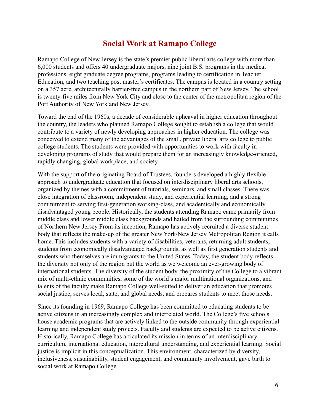### **Social Work at Ramapo College**

<span id="page-5-0"></span>Ramapo College of New Jersey is the state's premier public liberal arts college with more than 6,000 students and offers 40 undergraduate majors, nine joint B.S. programs in the medical professions, eight graduate degree programs, programs leading to certification in Teacher Education, and two teaching post master's certificates. The campus is located in a country setting on a 357 acre, architecturally barrier-free campus in the northern part of New Jersey. The school is twenty-five miles from New York City and close to the center of the metropolitan region of the Port Authority of New York and New Jersey.

Toward the end of the 1960s, a decade of considerable upheaval in higher education throughout the country, the leaders who planned Ramapo College sought to establish a college that would contribute to a variety of newly developing approaches in higher education. The college was conceived to extend many of the advantages of the small, private liberal arts college to public college students. The students were provided with opportunities to work with faculty in developing programs of study that would prepare them for an increasingly knowledge-oriented, rapidly changing, global workplace, and society.

With the support of the originating Board of Trustees, founders developed a highly flexible approach to undergraduate education that focused on interdisciplinary liberal arts schools, organized by themes with a commitment of tutorials, seminars, and small classes. There was close integration of classroom, independent study, and experiential learning, and a strong commitment to serving first-generation working-class, and academically and economically disadvantaged young people. Historically, the students attending Ramapo came primarily from middle class and lower middle class backgrounds and hailed from the surrounding communities of Northern New Jersey From its inception, Ramapo has actively recruited a diverse student body that reflects the make-up of the greater New York/New Jersey Metropolitan Region it calls home. This includes students with a variety of disabilities, veterans, returning adult students, students from economically disadvantaged backgrounds, as well as first generation students and students who themselves are immigrants to the United States. Today, the student body reflects the diversity not only of the region but the world as we welcome an ever-growing body of international students. The diversity of the student body, the proximity of the College to a vibrant mix of multi-ethnic communities, some of the world's major multinational organizations, and talents of the faculty make Ramapo College well-suited to deliver an education that promotes social justice, serves local, state, and global needs, and prepares students to meet those needs.

Since its founding in 1969, Ramapo College has been committed to educating students to be active citizens in an increasingly complex and interrelated world. The College's five schools house academic programs that are actively linked to the outside community through experiential learning and independent study projects. Faculty and students are expected to be active citizens. Historically, Ramapo College has articulated its mission in terms of an interdisciplinary curriculum, international education, intercultural understanding, and experiential learning. Social justice is implicit in this conceptualization. This environment, characterized by diversity, inclusiveness, sustainability, student engagement, and community involvement, gave birth to social work at Ramapo College.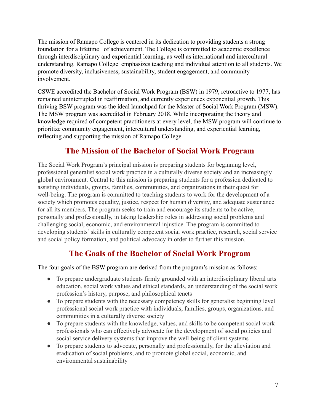The mission of Ramapo College is centered in its dedication to providing students a strong foundation for a lifetime of achievement. The College is committed to academic excellence through interdisciplinary and experiential learning, as well as international and intercultural understanding. Ramapo College emphasizes teaching and individual attention to all students. We promote diversity, inclusiveness, sustainability, student engagement, and community involvement.

CSWE accredited the Bachelor of Social Work Program (BSW) in 1979, retroactive to 1977, has remained uninterrupted in reaffirmation, and currently experiences exponential growth. This thriving BSW program was the ideal launchpad for the Master of Social Work Program (MSW). The MSW program was accredited in February 2018. While incorporating the theory and knowledge required of competent practitioners at every level, the MSW program will continue to prioritize community engagement, intercultural understanding, and experiential learning, reflecting and supporting the mission of Ramapo College.

# **The Mission of the Bachelor of Social Work Program**

<span id="page-6-0"></span>The Social Work Program's principal mission is preparing students for beginning level, professional generalist social work practice in a culturally diverse society and an increasingly global environment. Central to this mission is preparing students for a profession dedicated to assisting individuals, groups, families, communities, and organizations in their quest for well-being. The program is committed to teaching students to work for the development of a society which promotes equality, justice, respect for human diversity, and adequate sustenance for all its members. The program seeks to train and encourage its students to be active, personally and professionally, in taking leadership roles in addressing social problems and challenging social, economic, and environmental injustice. The program is committed to developing students' skills in culturally competent social work practice, research, social service and social policy formation, and political advocacy in order to further this mission.

# **The Goals of the Bachelor of Social Work Program**

The four goals of the BSW program are derived from the program's mission as follows:

- To prepare undergraduate students firmly grounded with an interdisciplinary liberal arts education, social work values and ethical standards, an understanding of the social work profession's history, purpose, and philosophical tenets
- To prepare students with the necessary competency skills for generalist beginning level professional social work practice with individuals, families, groups, organizations, and communities in a culturally diverse society
- To prepare students with the knowledge, values, and skills to be competent social work professionals who can effectively advocate for the development of social policies and social service delivery systems that improve the well-being of client systems
- To prepare students to advocate, personally and professionally, for the alleviation and eradication of social problems, and to promote global social, economic, and environmental sustainability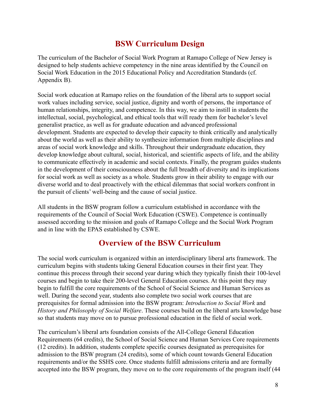# **BSW Curriculum Design**

<span id="page-7-0"></span>The curriculum of the Bachelor of Social Work Program at Ramapo College of New Jersey is designed to help students achieve competency in the nine areas identified by the Council on Social Work Education in the 2015 Educational Policy and Accreditation Standards (cf. Appendix B).

Social work education at Ramapo relies on the foundation of the liberal arts to support social work values including service, social justice, dignity and worth of persons, the importance of human relationships, integrity, and competence. In this way, we aim to instill in students the intellectual, social, psychological, and ethical tools that will ready them for bachelor's level generalist practice, as well as for graduate education and advanced professional development. Students are expected to develop their capacity to think critically and analytically about the world as well as their ability to synthesize information from multiple disciplines and areas of social work knowledge and skills. Throughout their undergraduate education, they develop knowledge about cultural, social, historical, and scientific aspects of life, and the ability to communicate effectively in academic and social contexts. Finally, the program guides students in the development of their consciousness about the full breadth of diversity and its implications for social work as well as society as a whole. Students grow in their ability to engage with our diverse world and to deal proactively with the ethical dilemmas that social workers confront in the pursuit of clients' well-being and the cause of social justice.

All students in the BSW program follow a curriculum established in accordance with the requirements of the Council of Social Work Education (CSWE). Competence is continually assessed according to the mission and goals of Ramapo College and the Social Work Program and in line with the EPAS established by CSWE.

### **Overview of the BSW Curriculum**

<span id="page-7-1"></span>The social work curriculum is organized within an interdisciplinary liberal arts framework. The curriculum begins with students taking General Education courses in their first year. They continue this process through their second year during which they typically finish their 100-level courses and begin to take their 200-level General Education courses. At this point they may begin to fulfill the core requirements of the School of Social Science and Human Services as well. During the second year, students also complete two social work courses that are prerequisites for formal admission into the BSW program: *Introduction to Social Work* and *History and Philosophy of Social Welfare*. These courses build on the liberal arts knowledge base so that students may move on to pursue professional education in the field of social work.

The curriculum's liberal arts foundation consists of the All-College General Education Requirements (64 credits), the School of Social Science and Human Services Core requirements (12 credits). In addition, students complete specific courses designated as prerequisites for admission to the BSW program (24 credits), some of which count towards General Education requirements and/or the SSHS core. Once students fulfill admissions criteria and are formally accepted into the BSW program, they move on to the core requirements of the program itself (44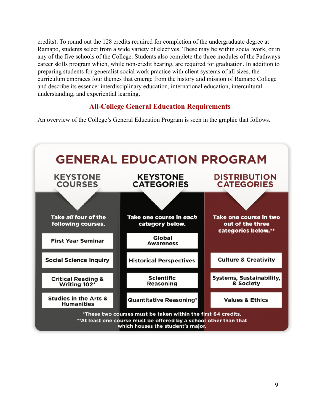credits). To round out the 128 credits required for completion of the undergraduate degree at Ramapo, students select from a wide variety of electives. These may be within social work, or in any of the five schools of the College. Students also complete the three modules of the Pathways career skills program which, while non-credit bearing, are required for graduation. In addition to preparing students for generalist social work practice with client systems of all sizes, the curriculum embraces four themes that emerge from the history and mission of Ramapo College and describe its essence: interdisciplinary education, international education, intercultural understanding, and experiential learning.

#### **All-College General Education Requirements**

An overview of the College's General Education Program is seen in the graphic that follows.

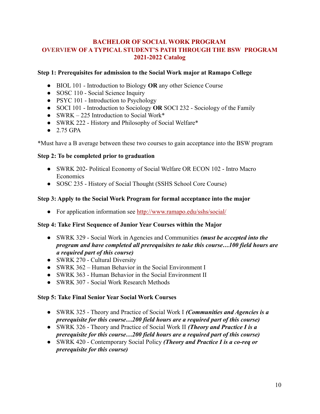#### <span id="page-9-0"></span>**BACHELOR OF SOCIAL WORK PROGRAM OVERVIEW OF A TYPICAL STUDENT'S PATH THROUGH THE BSW PROGRAM 2021-2022 Catalog**

#### **Step 1: Prerequisites for admission to the Social Work major at Ramapo College**

- BIOL 101 Introduction to Biology **OR** any other Science Course
- SOSC 110 Social Science Inquiry
- PSYC 101 Introduction to Psychology
- SOCI 101 Introduction to Sociology **OR** SOCI 232 Sociology of the Family
- SWRK 225 Introduction to Social Work\*
- SWRK 222 History and Philosophy of Social Welfare\*
- $\bullet$  2.75 GPA

\*Must have a B average between these two courses to gain acceptance into the BSW program

#### **Step 2: To be completed prior to graduation**

- SWRK 202- Political Economy of Social Welfare OR ECON 102 Intro Macro Economics
- SOSC 235 History of Social Thought (SSHS School Core Course)

#### **Step 3: Apply to the Social Work Program for formal acceptance into the major**

• For application information see http://www.ramapo.edu/sshs/social/

#### **Step 4: Take First Sequence of Junior Year Courses within the Major**

- SWRK 329 Social Work in Agencies and Communities *(must be accepted into the program and have completed all prerequisites to take this course…100 field hours are a required part of this course)*
- SWRK 270 Cultural Diversity
- SWRK 362 Human Behavior in the Social Environment I
- SWRK 363 Human Behavior in the Social Environment II
- SWRK 307 Social Work Research Methods

#### **Step 5: Take Final Senior Year Social Work Courses**

- SWRK 325 Theory and Practice of Social Work I *(Communities and Agencies is a prerequisite for this course…200 field hours are a required part of this course)*
- SWRK 326 Theory and Practice of Social Work II *(Theory and Practice I is a prerequisite for this course…200 field hours are a required part of this course)*
- SWRK 420 Contemporary Social Policy *(Theory and Practice I is a co-req or prerequisite for this course)*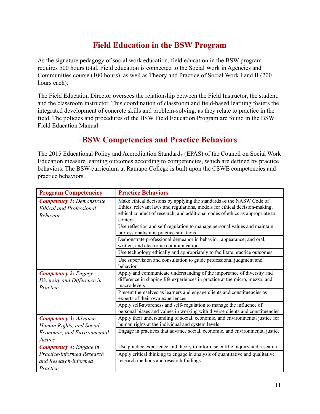# **Field Education in the BSW Program**

<span id="page-10-0"></span>As the signature pedagogy of social work education, field education in the BSW program requires 500 hours total. Field education is connected to the Social Work in Agencies and Communities course (100 hours), as well as Theory and Practice of Social Work I and II (200 hours each).

The Field Education Director oversees the relationship between the Field Instructor, the student, and the classroom instructor. This coordination of classroom and field-based learning fosters the integrated development of concrete skills and problem-solving, as they relate to practice in the field. The policies and procedures of the BSW Field Education Program are found in the BSW Field Education Manual

### **BSW Competencies and Practice Behaviors**

<span id="page-10-1"></span>The 2015 Educational Policy and Accreditation Standards (EPAS) of the Council on Social Work Education measure learning outcomes according to competencies, which are defined by practice behaviors. The BSW curriculum at Ramapo College is built upon the CSWE competencies and practice behaviors.

| <b>Program Competencies</b>                                                            | <b>Practice Behaviors</b>                                                                                                                                                                                                                      |
|----------------------------------------------------------------------------------------|------------------------------------------------------------------------------------------------------------------------------------------------------------------------------------------------------------------------------------------------|
| <b>Competency 1:</b> Demonstrate<br><b>Ethical and Professional</b><br><b>Behavior</b> | Make ethical decisions by applying the standards of the NASW Code of<br>Ethics, relevant laws and regulations, models for ethical decision-making,<br>ethical conduct of research, and additional codes of ethics as appropriate to<br>context |
|                                                                                        | Use reflection and self-regulation to manage personal values and maintain<br>professionalism in practice situations                                                                                                                            |
|                                                                                        | Demonstrate professional demeanor in behavior; appearance; and oral,<br>written, and electronic communication                                                                                                                                  |
|                                                                                        | Use technology ethically and appropriately to facilitate practice outcomes                                                                                                                                                                     |
|                                                                                        | Use supervision and consultation to guide professional judgment and<br>behavior                                                                                                                                                                |
| <b>Competency 2: Engage</b><br>Diversity and Difference in<br>Practice                 | Apply and communicate understanding of the importance of diversity and<br>difference in shaping life experiences in practice at the micro, mezzo, and<br>macro levels                                                                          |
|                                                                                        | Present themselves as learners and engage clients and constituencies as<br>experts of their own experiences                                                                                                                                    |
|                                                                                        | Apply self-awareness and self- regulation to manage the influence of<br>personal biases and values in working with diverse clients and constituencies                                                                                          |
| <b>Competency 3: Advance</b><br>Human Rights, and Social,                              | Apply their understanding of social, economic, and environmental justice for<br>human rights at the individual and system levels                                                                                                               |
| Economic, and Environmental                                                            | Engage in practices that advance social, economic, and environmental justice                                                                                                                                                                   |
| <i>Justice</i>                                                                         |                                                                                                                                                                                                                                                |
| Competency 4: Engage in                                                                | Use practice experience and theory to inform scientific inquiry and research                                                                                                                                                                   |
| Practice-informed Research<br>and Research-informed<br>Practice                        | Apply critical thinking to engage in analysis of quantitative and qualitative<br>research methods and research findings                                                                                                                        |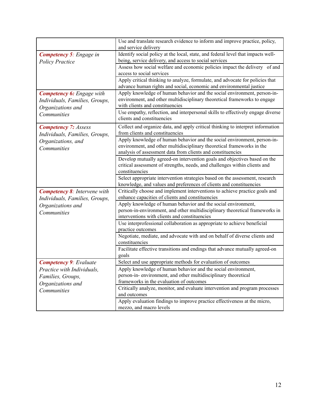|                                                                                                           | Use and translate research evidence to inform and improve practice, policy,<br>and service delivery                                                                                                               |
|-----------------------------------------------------------------------------------------------------------|-------------------------------------------------------------------------------------------------------------------------------------------------------------------------------------------------------------------|
| <b>Competency 5:</b> Engage in<br><b>Policy Practice</b>                                                  | Identify social policy at the local, state, and federal level that impacts well-<br>being, service delivery, and access to social services                                                                        |
|                                                                                                           | Assess how social welfare and economic policies impact the delivery of and<br>access to social services                                                                                                           |
|                                                                                                           | Apply critical thinking to analyze, formulate, and advocate for policies that<br>advance human rights and social, economic and environmental justice                                                              |
| <b>Competency 6:</b> Engage with<br>Individuals, Families, Groups,<br>Organizations and<br>Communities    | Apply knowledge of human behavior and the social environment, person-in-<br>environment, and other multidisciplinary theoretical frameworks to engage<br>with clients and constituencies                          |
|                                                                                                           | Use empathy, reflection, and interpersonal skills to effectively engage diverse<br>clients and constituencies                                                                                                     |
| <b>Competency 7: Assess</b><br>Individuals, Families, Groups,<br>Organizations, and<br>Communities        | Collect and organize data, and apply critical thinking to interpret information<br>from clients and constituencies                                                                                                |
|                                                                                                           | Apply knowledge of human behavior and the social environment, person-in-<br>environment, and other multidisciplinary theoretical frameworks in the<br>analysis of assessment data from clients and constituencies |
|                                                                                                           | Develop mutually agreed-on intervention goals and objectives based on the<br>critical assessment of strengths, needs, and challenges within clients and<br>constituencies                                         |
|                                                                                                           | Select appropriate intervention strategies based on the assessment, research<br>knowledge, and values and preferences of clients and constituencies                                                               |
| <b>Competency 8:</b> Intervene with<br>Individuals, Families, Groups,<br>Organizations and<br>Communities | Critically choose and implement interventions to achieve practice goals and<br>enhance capacities of clients and constituencies                                                                                   |
|                                                                                                           | Apply knowledge of human behavior and the social environment,<br>person-in-environment, and other multidisciplinary theoretical frameworks in<br>interventions with clients and constituencies                    |
|                                                                                                           | Use interprofessional collaboration as appropriate to achieve beneficial<br>practice outcomes                                                                                                                     |
|                                                                                                           | Negotiate, mediate, and advocate with and on behalf of diverse clients and<br>constituencies                                                                                                                      |
|                                                                                                           | Facilitate effective transitions and endings that advance mutually agreed-on<br>goals                                                                                                                             |
| <b>Competency 9: Evaluate</b>                                                                             | Select and use appropriate methods for evaluation of outcomes                                                                                                                                                     |
| Practice with Individuals.                                                                                | Apply knowledge of human behavior and the social environment,                                                                                                                                                     |
| Families, Groups,                                                                                         | person-in-environment, and other multidisciplinary theoretical                                                                                                                                                    |
| Organizations and                                                                                         | frameworks in the evaluation of outcomes                                                                                                                                                                          |
| Communities                                                                                               | Critically analyze, monitor, and evaluate intervention and program processes<br>and outcomes                                                                                                                      |
|                                                                                                           | Apply evaluation findings to improve practice effectiveness at the micro,<br>mezzo, and macro levels                                                                                                              |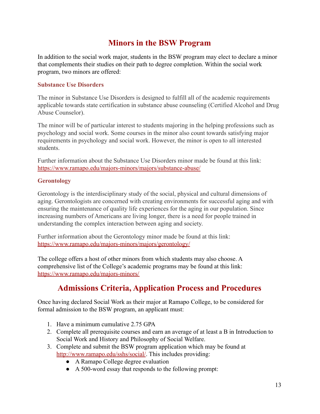# **Minors in the BSW Program**

<span id="page-12-0"></span>In addition to the social work major, students in the BSW program may elect to declare a minor that complements their studies on their path to degree completion. Within the social work program, two minors are offered:

#### **Substance Use Disorders**

The minor in Substance Use Disorders is designed to fulfill all of the academic requirements applicable towards state certification in substance abuse counseling (Certified Alcohol and Drug Abuse Counselor).

The minor will be of particular interest to students majoring in the helping professions such as psychology and social work. Some courses in the minor also count towards satisfying major requirements in psychology and social work. However, the minor is open to all interested students.

Further information about the Substance Use Disorders minor made be found at this link: <https://www.ramapo.edu/majors-minors/majors/substance-abuse/>

#### **Gerontology**

Gerontology is the interdisciplinary study of the social, physical and cultural dimensions of aging. Gerontologists are concerned with creating environments for successful aging and with ensuring the maintenance of quality life experiences for the aging in our population. Since increasing numbers of Americans are living longer, there is a need for people trained in understanding the complex interaction between aging and society.

Further information about the Gerontology minor made be found at this link: <https://www.ramapo.edu/majors-minors/majors/gerontology/>

The college offers a host of other minors from which students may also choose. A comprehensive list of the College's academic programs may be found at this link: <https://www.ramapo.edu/majors-minors/>

### **Admissions Criteria, Application Process and Procedures**

<span id="page-12-1"></span>Once having declared Social Work as their major at Ramapo College, to be considered for formal admission to the BSW program, an applicant must:

- 1. Have a minimum cumulative 2.75 GPA
- 2. Complete all prerequisite courses and earn an average of at least a B in Introduction to Social Work and History and Philosophy of Social Welfare.
- 3. Complete and submit the BSW program application which may be found at <http://www.ramapo.edu/sshs/social/>. This includes providing:
	- A Ramapo College degree evaluation
	- A 500-word essay that responds to the following prompt: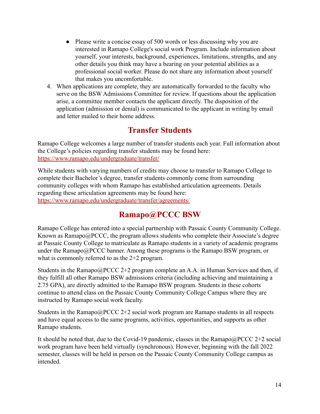- Please write a concise essay of 500 words or less discussing why you are interested in Ramapo College's social work Program. Include information about yourself, your interests, background, experiences, limitations, strengths, and any other details you think may have a bearing on your potential abilities as a professional social worker. Please do not share any information about yourself that makes you uncomfortable.
- 4. When applications are complete, they are automatically forwarded to the faculty who serve on the BSW Admissions Committee for review. If questions about the application arise, a committee member contacts the applicant directly. The disposition of the application (admission or denial) is communicated to the applicant in writing by email and letter mailed to their home address.

# **Transfer Students**

<span id="page-13-0"></span>Ramapo College welcomes a large number of transfer students each year. Full information about the College's policies regarding transfer students may be found here: <https://www.ramapo.edu/undergraduate/transfer/>

While students with varying numbers of credits may choose to transfer to Ramapo College to complete their Bachelor's degree, transfer students commonly come from surrounding community colleges with whom Ramapo has established articulation agreements. Details regarding these articulation agreements may be found here: <https://www.ramapo.edu/undergraduate/transfer/agreements/>

### **Ramapo@PCCC BSW**

<span id="page-13-1"></span>Ramapo College has entered into a special partnership with Passaic County Community College. Known as Ramapo@PCCC, the program allows students who complete their Associate's degree at Passaic County College to matriculate as Ramapo students in a variety of academic programs under the Ramapo@PCCC banner. Among these programs is the Ramapo BSW program, or what is commonly referred to as the 2+2 program.

Students in the Ramapo@PCCC 2+2 program complete an A.A. in Human Services and then, if they fulfill all other Ramapo BSW admissions criteria (including achieving and maintaining a 2.75 GPA), are directly admitted to the Ramapo BSW program. Students in these cohorts continue to attend class on the Passaic County Community College Campus where they are instructed by Ramapo social work faculty.

Students in the Ramapo@PCCC 2+2 social work program are Ramapo students in all respects and have equal access to the same programs, activities, opportunities, and supports as other Ramapo students.

It should be noted that, due to the Covid-19 pandemic, classes in the Ramapo $@PCCC 2+2$  social work program have been held virtually (synchronous). However, beginning with the fall 2022 semester, classes will be held in person on the Passaic County Community College campus as intended.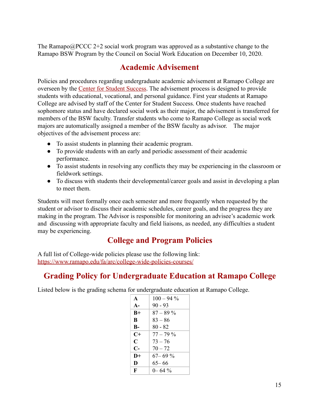<span id="page-14-0"></span>The Ramapo $@$ PCCC 2+2 social work program was approved as a substantive change to the Ramapo BSW Program by the Council on Social Work Education on December 10, 2020.

### **Academic Advisement**

Policies and procedures regarding undergraduate academic advisement at Ramapo College are overseen by the [Center for Student Success.](https://www.ramapo.edu/studentsuccess/) The advisement process is designed to provide students with educational, vocational, and personal guidance. First year students at Ramapo College are advised by staff of the Center for Student Success. Once students have reached sophomore status and have declared social work as their major, the advisement is transferred for members of the BSW faculty. Transfer students who come to Ramapo College as social work majors are automatically assigned a member of the BSW faculty as advisor. The major objectives of the advisement process are:

- To assist students in planning their academic program.
- To provide students with an early and periodic assessment of their academic performance.
- To assist students in resolving any conflicts they may be experiencing in the classroom or fieldwork settings.
- To discuss with students their developmental/career goals and assist in developing a plan to meet them.

Students will meet formally once each semester and more frequently when requested by the student or advisor to discuss their academic schedules, career goals, and the progress they are making in the program. The Advisor is responsible for monitoring an advisee's academic work and discussing with appropriate faculty and field liaisons, as needed, any difficulties a student may be experiencing.

### **College and Program Policies**

<span id="page-14-1"></span>A full list of College-wide policies please use the following link: <https://www.ramapo.edu/fa/arc/college-wide-policies-courses/>

# <span id="page-14-2"></span>**Grading Policy for Undergraduate Education at Ramapo College**

Listed below is the grading schema for undergraduate education at Ramapo College.

| $\mathbf{A}$ | $100 - 94\%$ |
|--------------|--------------|
| $A -$        | $90 - 93$    |
| $B+$         | $87 - 89\%$  |
| R            | $83 - 86$    |
| $\mathbf{B}$ | 80 - 82      |
| $\Gamma$     | $77 - 79\%$  |
| C            | $73 - 76$    |
| $C-$         | $70 - 72$    |
| $D+$         | $67 - 69\%$  |
| D            | 65–66        |
| F            | 0–64 %       |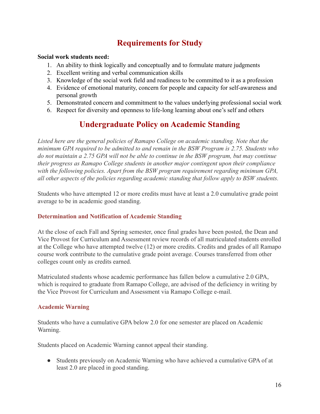# **Requirements for Study**

#### <span id="page-15-0"></span>**Social work students need:**

- 1. An ability to think logically and conceptually and to formulate mature judgments
- 2. Excellent writing and verbal communication skills
- 3. Knowledge of the social work field and readiness to be committed to it as a profession
- 4. Evidence of emotional maturity, concern for people and capacity for self-awareness and personal growth
- 5. Demonstrated concern and commitment to the values underlying professional social work
- <span id="page-15-1"></span>6. Respect for diversity and openness to life-long learning about one's self and others

### **Undergraduate Policy on Academic Standing**

*Listed here are the general policies of Ramapo College on academic standing. Note that the minimum GPA required to be admitted to and remain in the BSW Program is 2.75. Students who do not maintain a 2.75 GPA will not be able to continue in the BSW program, but may continue their progress as Ramapo College students in another major contingent upon their compliance with the following policies. Apart from the BSW program requirement regarding minimum GPA, all other aspects of the policies regarding academic standing that follow apply to BSW students.*

Students who have attempted 12 or more credits must have at least a 2.0 cumulative grade point average to be in academic good standing.

#### **Determination and Notification of Academic Standing**

At the close of each Fall and Spring semester, once final grades have been posted, the Dean and Vice Provost for Curriculum and Assessment review records of all matriculated students enrolled at the College who have attempted twelve (12) or more credits. Credits and grades of all Ramapo course work contribute to the cumulative grade point average. Courses transferred from other colleges count only as credits earned.

Matriculated students whose academic performance has fallen below a cumulative 2.0 GPA, which is required to graduate from Ramapo College, are advised of the deficiency in writing by the Vice Provost for Curriculum and Assessment via Ramapo College e-mail.

#### **Academic Warning**

Students who have a cumulative GPA below 2.0 for one semester are placed on Academic Warning.

Students placed on Academic Warning cannot appeal their standing.

● Students previously on Academic Warning who have achieved a cumulative GPA of at least 2.0 are placed in good standing.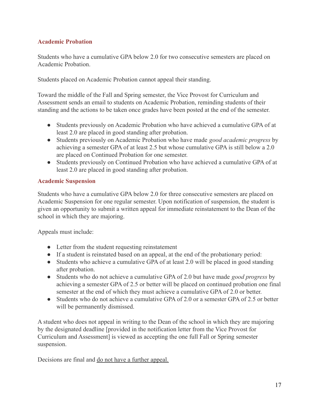#### **Academic Probation**

Students who have a cumulative GPA below 2.0 for two consecutive semesters are placed on Academic Probation.

Students placed on Academic Probation cannot appeal their standing.

Toward the middle of the Fall and Spring semester, the Vice Provost for Curriculum and Assessment sends an email to students on Academic Probation, reminding students of their standing and the actions to be taken once grades have been posted at the end of the semester.

- Students previously on Academic Probation who have achieved a cumulative GPA of at least 2.0 are placed in good standing after probation.
- Students previously on Academic Probation who have made *good academic progress* by achieving a semester GPA of at least 2.5 but whose cumulative GPA is still below a 2.0 are placed on Continued Probation for one semester.
- Students previously on Continued Probation who have achieved a cumulative GPA of at least 2.0 are placed in good standing after probation.

#### **Academic Suspension**

Students who have a cumulative GPA below 2.0 for three consecutive semesters are placed on Academic Suspension for one regular semester. Upon notification of suspension, the student is given an opportunity to submit a written appeal for immediate reinstatement to the Dean of the school in which they are majoring.

Appeals must include:

- Letter from the student requesting reinstatement
- If a student is reinstated based on an appeal, at the end of the probationary period:
- Students who achieve a cumulative GPA of at least 2.0 will be placed in good standing after probation.
- Students who do not achieve a cumulative GPA of 2.0 but have made *good progress* by achieving a semester GPA of 2.5 or better will be placed on continued probation one final semester at the end of which they must achieve a cumulative GPA of 2.0 or better.
- Students who do not achieve a cumulative GPA of 2.0 or a semester GPA of 2.5 or better will be permanently dismissed.

A student who does not appeal in writing to the Dean of the school in which they are majoring by the designated deadline [provided in the notification letter from the Vice Provost for Curriculum and Assessment] is viewed as accepting the one full Fall or Spring semester suspension.

Decisions are final and do not have a further appeal.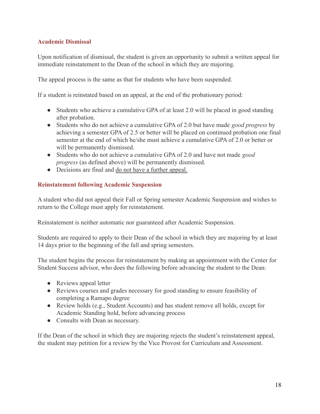#### **Academic Dismissal**

Upon notification of dismissal, the student is given an opportunity to submit a written appeal for immediate reinstatement to the Dean of the school in which they are majoring.

The appeal process is the same as that for students who have been suspended.

If a student is reinstated based on an appeal, at the end of the probationary period:

- Students who achieve a cumulative GPA of at least 2.0 will be placed in good standing after probation.
- Students who do not achieve a cumulative GPA of 2.0 but have made *good progress* by achieving a semester GPA of 2.5 or better will be placed on continued probation one final semester at the end of which he/she must achieve a cumulative GPA of 2.0 or better or will be permanently dismissed.
- Students who do not achieve a cumulative GPA of 2.0 and have not made *good progress* (as defined above) will be permanently dismissed.
- Decisions are final and do not have a further appeal.

#### **Reinstatement following Academic Suspension**

A student who did not appeal their Fall or Spring semester Academic Suspension and wishes to return to the College must apply for reinstatement.

Reinstatement is neither automatic nor guaranteed after Academic Suspension.

Students are required to apply to their Dean of the school in which they are majoring by at least 14 days prior to the beginning of the fall and spring semesters.

The student begins the process for reinstatement by making an appointment with the Center for Student Success advisor, who does the following before advancing the student to the Dean:

- Reviews appeal letter
- Reviews courses and grades necessary for good standing to ensure feasibility of completing a Ramapo degree
- Review holds (e.g., Student Accounts) and has student remove all holds, except for Academic Standing hold, before advancing process
- Consults with Dean as necessary.

If the Dean of the school in which they are majoring rejects the student's reinstatement appeal, the student may petition for a review by the Vice Provost for Curriculum and Assessment.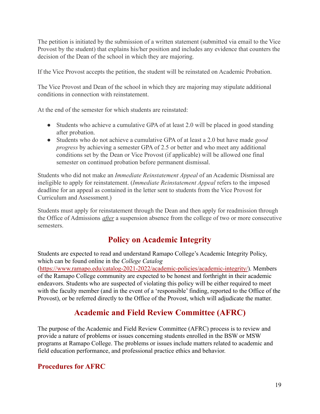The petition is initiated by the submission of a written statement (submitted via email to the Vice Provost by the student) that explains his/her position and includes any evidence that counters the decision of the Dean of the school in which they are majoring.

If the Vice Provost accepts the petition, the student will be reinstated on Academic Probation.

The Vice Provost and Dean of the school in which they are majoring may stipulate additional conditions in connection with reinstatement.

At the end of the semester for which students are reinstated:

- Students who achieve a cumulative GPA of at least 2.0 will be placed in good standing after probation.
- Students who do not achieve a cumulative GPA of at least a 2.0 but have made *good progress* by achieving a semester GPA of 2.5 or better and who meet any additional conditions set by the Dean or Vice Provost (if applicable) will be allowed one final semester on continued probation before permanent dismissal.

Students who did not make an *Immediate Reinstatement Appeal* of an Academic Dismissal are ineligible to apply for reinstatement. (*Immediate Reinstatement Appeal* refers to the imposed deadline for an appeal as contained in the letter sent to students from the Vice Provost for Curriculum and Assessment.)

Students must apply for reinstatement through the Dean and then apply for readmission through the Office of Admissions *after* a suspension absence from the college of two or more consecutive semesters.

# **Policy on Academic Integrity**

<span id="page-18-0"></span>Students are expected to read and understand Ramapo College's Academic Integrity Policy, which can be found online in the *College Catalog*

(<https://www.ramapo.edu/catalog-2021-2022/academic-policies/academic-integrity/>). Members of the Ramapo College community are expected to be honest and forthright in their academic endeavors. Students who are suspected of violating this policy will be either required to meet with the faculty member (and in the event of a 'responsible' finding, reported to the Office of the Provost), or be referred directly to the Office of the Provost, which will adjudicate the matter.

# **Academic and Field Review Committee (AFRC)**

<span id="page-18-1"></span>The purpose of the Academic and Field Review Committee (AFRC) process is to review and provide a nature of problems or issues concerning students enrolled in the BSW or MSW programs at Ramapo College. The problems or issues include matters related to academic and field education performance, and professional practice ethics and behavior.

#### **Procedures for AFRC**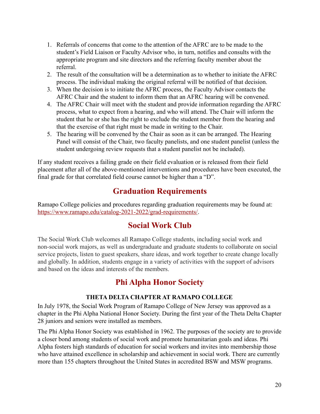- 1. Referrals of concerns that come to the attention of the AFRC are to be made to the student's Field Liaison or Faculty Advisor who, in turn, notifies and consults with the appropriate program and site directors and the referring faculty member about the referral.
- 2. The result of the consultation will be a determination as to whether to initiate the AFRC process. The individual making the original referral will be notified of that decision.
- 3. When the decision is to initiate the AFRC process, the Faculty Advisor contacts the AFRC Chair and the student to inform them that an AFRC hearing will be convened.
- 4. The AFRC Chair will meet with the student and provide information regarding the AFRC process, what to expect from a hearing, and who will attend. The Chair will inform the student that he or she has the right to exclude the student member from the hearing and that the exercise of that right must be made in writing to the Chair.
- 5. The hearing will be convened by the Chair as soon as it can be arranged. The Hearing Panel will consist of the Chair, two faculty panelists, and one student panelist (unless the student undergoing review requests that a student panelist not be included).

If any student receives a failing grade on their field evaluation or is released from their field placement after all of the above-mentioned interventions and procedures have been executed, the final grade for that correlated field course cannot be higher than a "D".

### **Graduation Requirements**

<span id="page-19-1"></span><span id="page-19-0"></span>Ramapo College policies and procedures regarding graduation requirements may be found at: <https://www.ramapo.edu/catalog-2021-2022/grad-requirements/>.

### **Social Work Club**

The Social Work Club welcomes all Ramapo College students, including social work and non-social work majors, as well as undergraduate and graduate students to collaborate on social service projects, listen to guest speakers, share ideas, and work together to create change locally and globally. In addition, students engage in a variety of activities with the support of advisors and based on the ideas and interests of the members.

# **Phi Alpha Honor Society**

#### **THETA DELTA CHAPTER AT RAMAPO COLLEGE**

<span id="page-19-2"></span>In July 1978, the Social Work Program of Ramapo College of New Jersey was approved as a chapter in the Phi Alpha National Honor Society. During the first year of the Theta Delta Chapter 28 juniors and seniors were installed as members.

The Phi Alpha Honor Society was established in 1962. The purposes of the society are to provide a closer bond among students of social work and promote humanitarian goals and ideas. Phi Alpha fosters high standards of education for social workers and invites into membership those who have attained excellence in scholarship and achievement in social work. There are currently more than 155 chapters throughout the United States in accredited BSW and MSW programs.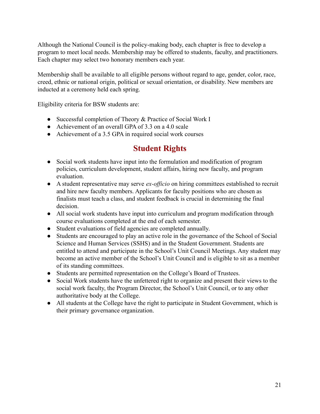Although the National Council is the policy-making body, each chapter is free to develop a program to meet local needs. Membership may be offered to students, faculty, and practitioners. Each chapter may select two honorary members each year.

Membership shall be available to all eligible persons without regard to age, gender, color, race, creed, ethnic or national origin, political or sexual orientation, or disability. New members are inducted at a ceremony held each spring.

Eligibility criteria for BSW students are:

- Successful completion of Theory & Practice of Social Work I
- Achievement of an overall GPA of 3.3 on a 4.0 scale
- <span id="page-20-0"></span>• Achievement of a 3.5 GPA in required social work courses

# **Student Rights**

- Social work students have input into the formulation and modification of program policies, curriculum development, student affairs, hiring new faculty, and program evaluation.
- A student representative may serve *ex-officio* on hiring committees established to recruit and hire new faculty members. Applicants for faculty positions who are chosen as finalists must teach a class, and student feedback is crucial in determining the final decision.
- All social work students have input into curriculum and program modification through course evaluations completed at the end of each semester.
- Student evaluations of field agencies are completed annually.
- Students are encouraged to play an active role in the governance of the School of Social Science and Human Services (SSHS) and in the Student Government. Students are entitled to attend and participate in the School's Unit Council Meetings. Any student may become an active member of the School's Unit Council and is eligible to sit as a member of its standing committees.
- Students are permitted representation on the College's Board of Trustees.
- Social Work students have the unfettered right to organize and present their views to the social work faculty, the Program Director, the School's Unit Council, or to any other authoritative body at the College.
- All students at the College have the right to participate in Student Government, which is their primary governance organization.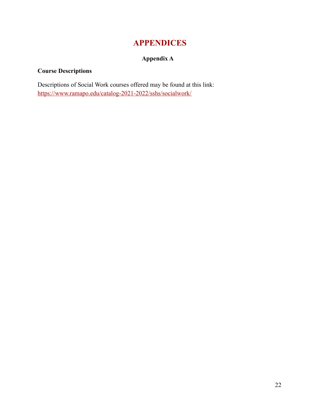# **APPENDICES**

#### **Appendix A**

#### <span id="page-21-1"></span><span id="page-21-0"></span>**Course Descriptions**

Descriptions of Social Work courses offered may be found at this link: <https://www.ramapo.edu/catalog-2021-2022/sshs/socialwork/>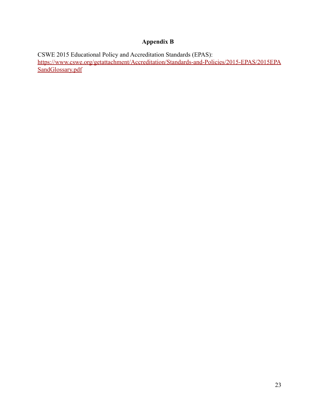#### **Appendix B**

<span id="page-22-0"></span>CSWE 2015 Educational Policy and Accreditation Standards (EPAS): [https://www.cswe.org/getattachment/Accreditation/Standards-and-Policies/2015-EPAS/2015EPA](https://www.cswe.org/getattachment/Accreditation/Standards-and-Policies/2015-EPAS/2015EPASandGlossary.pdf) [SandGlossary.pdf](https://www.cswe.org/getattachment/Accreditation/Standards-and-Policies/2015-EPAS/2015EPASandGlossary.pdf)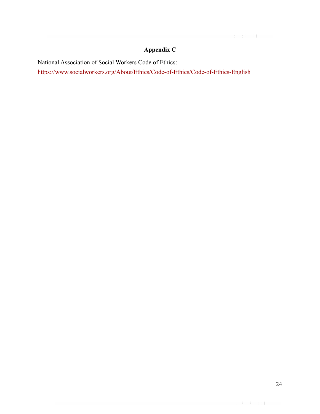#### **Appendix C**

<span id="page-23-0"></span>National Association of Social Workers Code of Ethics:

<https://www.socialworkers.org/About/Ethics/Code-of-Ethics/Code-of-Ethics-English>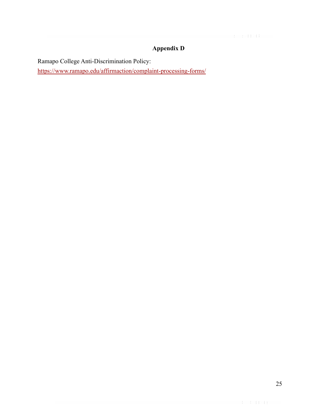#### **Appendix D**

<span id="page-24-0"></span>Ramapo College Anti-Discrimination Policy:

<https://www.ramapo.edu/affirmaction/complaint-processing-forms/>